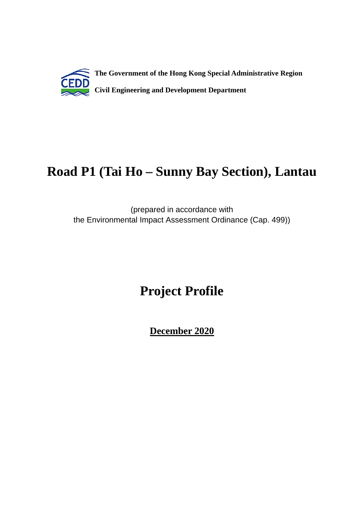

# **Road P1 (Tai Ho – Sunny Bay Section), Lantau**

(prepared in accordance with the Environmental Impact Assessment Ordinance (Cap. 499))

# **Project Profile**

**December 2020**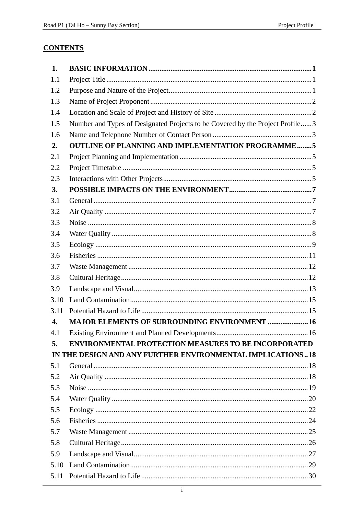## **CONTENTS**

| 1.               |                                                                               |  |
|------------------|-------------------------------------------------------------------------------|--|
| 1.1              |                                                                               |  |
| 1.2              |                                                                               |  |
| 1.3              |                                                                               |  |
| 1.4              |                                                                               |  |
| 1.5              | Number and Types of Designated Projects to be Covered by the Project Profile3 |  |
| 1.6              |                                                                               |  |
| 2.               | <b>OUTLINE OF PLANNING AND IMPLEMENTATION PROGRAMME5</b>                      |  |
| 2.1              |                                                                               |  |
| 2.2              |                                                                               |  |
| 2.3              |                                                                               |  |
| 3.               |                                                                               |  |
| 3.1              |                                                                               |  |
| 3.2              |                                                                               |  |
| 3.3              |                                                                               |  |
| 3.4              |                                                                               |  |
| 3.5              |                                                                               |  |
| 3.6              |                                                                               |  |
| 3.7              |                                                                               |  |
| 3.8              |                                                                               |  |
| 3.9              |                                                                               |  |
| 3.10             |                                                                               |  |
| 3.11             |                                                                               |  |
| $\overline{4}$ . | <b>MAJOR ELEMENTS OF SURROUNDING ENVIRONMENT  16</b>                          |  |
| 4.1              |                                                                               |  |
| 5.               | <b>ENVIRONMENTAL PROTECTION MEASURES TO BE INCORPORATED</b>                   |  |
|                  | IN THE DESIGN AND ANY FURTHER ENVIRONMENTAL IMPLICATIONS18                    |  |
| 5.1              |                                                                               |  |
| 5.2              |                                                                               |  |
| 5.3              |                                                                               |  |
| 5.4              |                                                                               |  |
| 5.5              |                                                                               |  |
| 5.6              |                                                                               |  |
| 5.7              |                                                                               |  |
| 5.8              |                                                                               |  |
| 5.9              |                                                                               |  |
| 5.10             |                                                                               |  |
| 5.11             |                                                                               |  |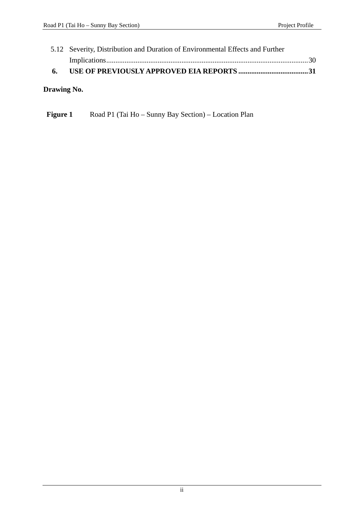| 6. |                                                                               |  |  |
|----|-------------------------------------------------------------------------------|--|--|
|    |                                                                               |  |  |
|    | 5.12 Severity, Distribution and Duration of Environmental Effects and Further |  |  |

## **Drawing No.**

| <b>Figure 1</b> | Road P1 (Tai Ho – Sunny Bay Section) – Location Plan |  |  |
|-----------------|------------------------------------------------------|--|--|
|-----------------|------------------------------------------------------|--|--|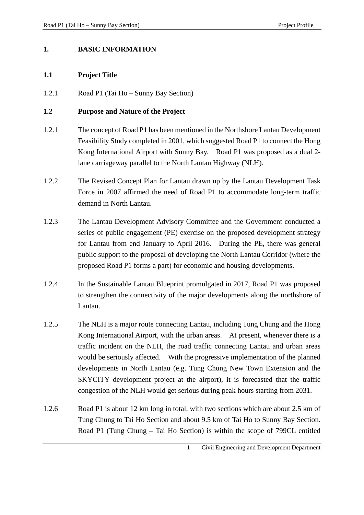#### **1. BASIC INFORMATION**

#### **1.1 Project Title**

1.2.1 Road P1 (Tai Ho – Sunny Bay Section)

#### **1.2 Purpose and Nature of the Project**

- 1.2.1 The concept of Road P1 has been mentioned in the Northshore Lantau Development Feasibility Study completed in 2001, which suggested Road P1 to connect the Hong Kong International Airport with Sunny Bay. Road P1 was proposed as a dual 2 lane carriageway parallel to the North Lantau Highway (NLH).
- 1.2.2 The Revised Concept Plan for Lantau drawn up by the Lantau Development Task Force in 2007 affirmed the need of Road P1 to accommodate long-term traffic demand in North Lantau.
- 1.2.3 The Lantau Development Advisory Committee and the Government conducted a series of public engagement (PE) exercise on the proposed development strategy for Lantau from end January to April 2016. During the PE, there was general public support to the proposal of developing the North Lantau Corridor (where the proposed Road P1 forms a part) for economic and housing developments.
- 1.2.4 In the Sustainable Lantau Blueprint promulgated in 2017, Road P1 was proposed to strengthen the connectivity of the major developments along the northshore of Lantau.
- 1.2.5 The NLH is a major route connecting Lantau, including Tung Chung and the Hong Kong International Airport, with the urban areas. At present, whenever there is a traffic incident on the NLH, the road traffic connecting Lantau and urban areas would be seriously affected. With the progressive implementation of the planned developments in North Lantau (e.g. Tung Chung New Town Extension and the SKYCITY development project at the airport), it is forecasted that the traffic congestion of the NLH would get serious during peak hours starting from 2031.
- 1.2.6 Road P1 is about 12 km long in total, with two sections which are about 2.5 km of Tung Chung to Tai Ho Section and about 9.5 km of Tai Ho to Sunny Bay Section. Road P1 (Tung Chung – Tai Ho Section) is within the scope of 799CL entitled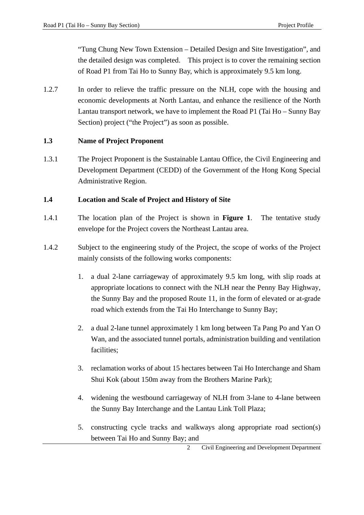"Tung Chung New Town Extension – Detailed Design and Site Investigation", and the detailed design was completed. This project is to cover the remaining section of Road P1 from Tai Ho to Sunny Bay, which is approximately 9.5 km long.

1.2.7 In order to relieve the traffic pressure on the NLH, cope with the housing and economic developments at North Lantau, and enhance the resilience of the North Lantau transport network, we have to implement the Road P1 (Tai Ho – Sunny Bay Section) project ("the Project") as soon as possible.

## **1.3 Name of Project Proponent**

1.3.1 The Project Proponent is the Sustainable Lantau Office, the Civil Engineering and Development Department (CEDD) of the Government of the Hong Kong Special Administrative Region.

## **1.4 Location and Scale of Project and History of Site**

- 1.4.1 The location plan of the Project is shown in **Figure 1**. The tentative study envelope for the Project covers the Northeast Lantau area.
- 1.4.2 Subject to the engineering study of the Project, the scope of works of the Project mainly consists of the following works components:
	- 1. a dual 2-lane carriageway of approximately 9.5 km long, with slip roads at appropriate locations to connect with the NLH near the Penny Bay Highway, the Sunny Bay and the proposed Route 11, in the form of elevated or at-grade road which extends from the Tai Ho Interchange to Sunny Bay;
	- 2. a dual 2-lane tunnel approximately 1 km long between Ta Pang Po and Yan O Wan, and the associated tunnel portals, administration building and ventilation facilities;
	- 3. reclamation works of about 15 hectares between Tai Ho Interchange and Sham Shui Kok (about 150m away from the Brothers Marine Park);
	- 4. widening the westbound carriageway of NLH from 3-lane to 4-lane between the Sunny Bay Interchange and the Lantau Link Toll Plaza;
	- 5. constructing cycle tracks and walkways along appropriate road section(s) between Tai Ho and Sunny Bay; and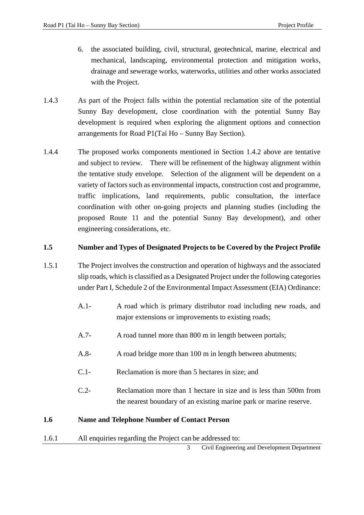- 6. the associated building, civil, structural, geotechnical, marine, electrical and mechanical, landscaping, environmental protection and mitigation works, drainage and sewerage works, waterworks, utilities and other works associated with the Project.
- 1.4.3 As part of the Project falls within the potential reclamation site of the potential Sunny Bay development, close coordination with the potential Sunny Bay development is required when exploring the alignment options and connection arrangements for Road P1(Tai Ho – Sunny Bay Section).
- 1.4.4 The proposed works components mentioned in Section 1.4.2 above are tentative and subject to review. There will be refinement of the highway alignment within the tentative study envelope. Selection of the alignment will be dependent on a variety of factors such as environmental impacts, construction cost and programme, traffic implications, land requirements, public consultation, the interface coordination with other on-going projects and planning studies (including the proposed Route 11 and the potential Sunny Bay development), and other engineering considerations, etc.

## **1.5 Number and Types of Designated Projects to be Covered by the Project Profile**

- 1.5.1 The Project involves the construction and operation of highways and the associated slip roads, which is classified as a Designated Project under the following categories under Part I, Schedule 2 of the Environmental Impact Assessment (EIA) Ordinance:
	- A.1- A road which is primary distributor road including new roads, and major extensions or improvements to existing roads;
	- A.7- A road tunnel more than 800 m in length between portals;
	- A.8- A road bridge more than 100 m in length between abutments;
	- C.1- Reclamation is more than 5 hectares in size; and
	- C.2- Reclamation more than 1 hectare in size and is less than 500m from the nearest boundary of an existing marine park or marine reserve.

## **1.6 Name and Telephone Number of Contact Person**

1.6.1 All enquiries regarding the Project can be addressed to:

3 Civil Engineering and Development Department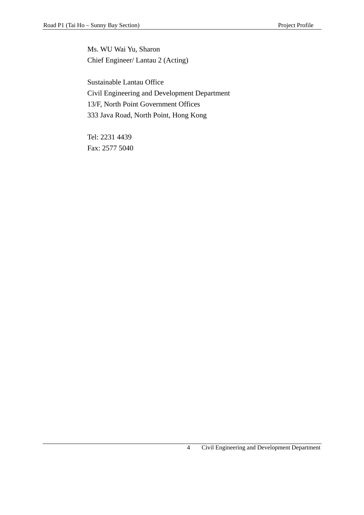Ms. WU Wai Yu, Sharon Chief Engineer/ Lantau 2 (Acting)

Sustainable Lantau Office Civil Engineering and Development Department 13/F, North Point Government Offices 333 Java Road, North Point, Hong Kong

Tel: 2231 4439 Fax: 2577 5040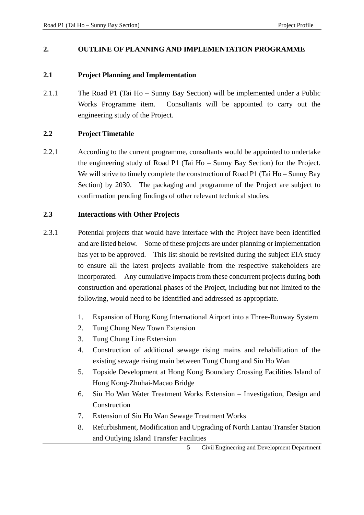#### **2. OUTLINE OF PLANNING AND IMPLEMENTATION PROGRAMME**

#### **2.1 Project Planning and Implementation**

2.1.1 The Road P1 (Tai Ho – Sunny Bay Section) will be implemented under a Public Works Programme item. Consultants will be appointed to carry out the engineering study of the Project.

#### **2.2 Project Timetable**

2.2.1 According to the current programme, consultants would be appointed to undertake the engineering study of Road P1 (Tai Ho – Sunny Bay Section) for the Project. We will strive to timely complete the construction of Road P1 (Tai Ho – Sunny Bay Section) by 2030. The packaging and programme of the Project are subject to confirmation pending findings of other relevant technical studies.

#### **2.3 Interactions with Other Projects**

- 2.3.1 Potential projects that would have interface with the Project have been identified and are listed below. Some of these projects are under planning or implementation has yet to be approved. This list should be revisited during the subject EIA study to ensure all the latest projects available from the respective stakeholders are incorporated. Any cumulative impacts from these concurrent projects during both construction and operational phases of the Project, including but not limited to the following, would need to be identified and addressed as appropriate.
	- 1. Expansion of Hong Kong International Airport into a Three-Runway System
	- 2. Tung Chung New Town Extension
	- 3. Tung Chung Line Extension
	- 4. Construction of additional sewage rising mains and rehabilitation of the existing sewage rising main between Tung Chung and Siu Ho Wan
	- 5. Topside Development at Hong Kong Boundary Crossing Facilities Island of Hong Kong-Zhuhai-Macao Bridge
	- 6. Siu Ho Wan Water Treatment Works Extension Investigation, Design and Construction
	- 7. Extension of Siu Ho Wan Sewage Treatment Works
	- 8. Refurbishment, Modification and Upgrading of North Lantau Transfer Station and Outlying Island Transfer Facilities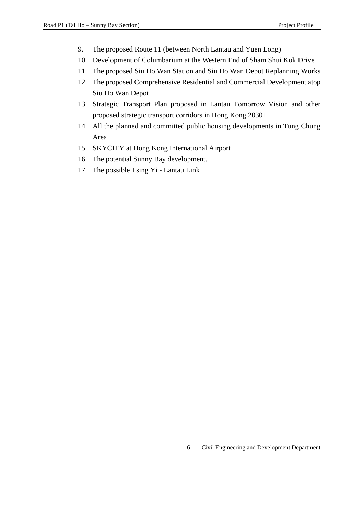- 9. The proposed Route 11 (between North Lantau and Yuen Long)
- 10. Development of Columbarium at the Western End of Sham Shui Kok Drive
- 11. The proposed Siu Ho Wan Station and Siu Ho Wan Depot Replanning Works
- 12. The proposed Comprehensive Residential and Commercial Development atop Siu Ho Wan Depot
- 13. Strategic Transport Plan proposed in Lantau Tomorrow Vision and other proposed strategic transport corridors in Hong Kong 2030+
- 14. All the planned and committed public housing developments in Tung Chung Area
- 15. SKYCITY at Hong Kong International Airport
- 16. The potential Sunny Bay development.
- 17. The possible Tsing Yi Lantau Link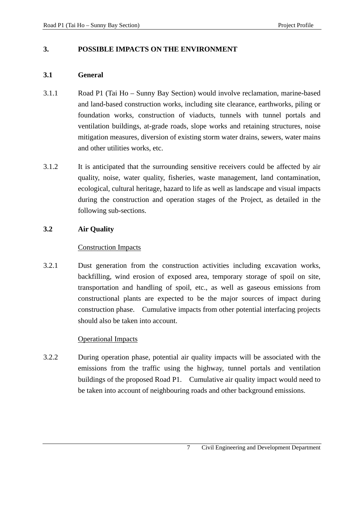#### **3. POSSIBLE IMPACTS ON THE ENVIRONMENT**

#### **3.1 General**

- 3.1.1 Road P1 (Tai Ho Sunny Bay Section) would involve reclamation, marine-based and land-based construction works, including site clearance, earthworks, piling or foundation works, construction of viaducts, tunnels with tunnel portals and ventilation buildings, at-grade roads, slope works and retaining structures, noise mitigation measures, diversion of existing storm water drains, sewers, water mains and other utilities works, etc.
- 3.1.2 It is anticipated that the surrounding sensitive receivers could be affected by air quality, noise, water quality, fisheries, waste management, land contamination, ecological, cultural heritage, hazard to life as well as landscape and visual impacts during the construction and operation stages of the Project, as detailed in the following sub-sections.

#### **3.2 Air Quality**

#### Construction Impacts

3.2.1 Dust generation from the construction activities including excavation works, backfilling, wind erosion of exposed area, temporary storage of spoil on site, transportation and handling of spoil, etc., as well as gaseous emissions from constructional plants are expected to be the major sources of impact during construction phase. Cumulative impacts from other potential interfacing projects should also be taken into account.

#### Operational Impacts

3.2.2 During operation phase, potential air quality impacts will be associated with the emissions from the traffic using the highway, tunnel portals and ventilation buildings of the proposed Road P1. Cumulative air quality impact would need to be taken into account of neighbouring roads and other background emissions.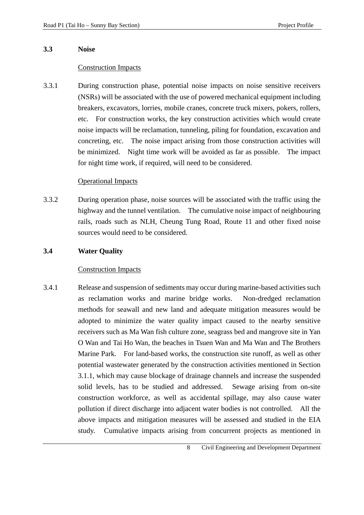#### **3.3 Noise**

#### Construction Impacts

3.3.1 During construction phase, potential noise impacts on noise sensitive receivers (NSRs) will be associated with the use of powered mechanical equipment including breakers, excavators, lorries, mobile cranes, concrete truck mixers, pokers, rollers, etc. For construction works, the key construction activities which would create noise impacts will be reclamation, tunneling, piling for foundation, excavation and concreting, etc. The noise impact arising from those construction activities will be minimized. Night time work will be avoided as far as possible. The impact for night time work, if required, will need to be considered.

## Operational Impacts

3.3.2 During operation phase, noise sources will be associated with the traffic using the highway and the tunnel ventilation. The cumulative noise impact of neighbouring rails, roads such as NLH, Cheung Tung Road, Route 11 and other fixed noise sources would need to be considered.

#### **3.4 Water Quality**

#### Construction Impacts

3.4.1 Release and suspension of sediments may occur during marine-based activities such as reclamation works and marine bridge works. Non-dredged reclamation methods for seawall and new land and adequate mitigation measures would be adopted to minimize the water quality impact caused to the nearby sensitive receivers such as Ma Wan fish culture zone, seagrass bed and mangrove site in Yan O Wan and Tai Ho Wan, the beaches in Tsuen Wan and Ma Wan and The Brothers Marine Park. For land-based works, the construction site runoff, as well as other potential wastewater generated by the construction activities mentioned in Section 3.1.1, which may cause blockage of drainage channels and increase the suspended solid levels, has to be studied and addressed. Sewage arising from on-site construction workforce, as well as accidental spillage, may also cause water pollution if direct discharge into adjacent water bodies is not controlled. All the above impacts and mitigation measures will be assessed and studied in the EIA study. Cumulative impacts arising from concurrent projects as mentioned in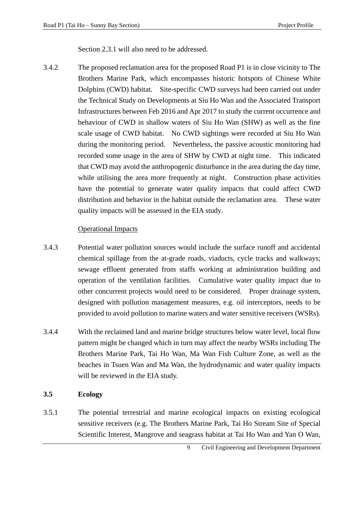Section 2.3.1 will also need to be addressed.

3.4.2 The proposed reclamation area for the proposed Road P1 is in close vicinity to The Brothers Marine Park, which encompasses historic hotspots of Chinese White Dolphins (CWD) habitat. Site-specific CWD surveys had been carried out under the Technical Study on Developments at Siu Ho Wan and the Associated Transport Infrastructures between Feb 2016 and Apr 2017 to study the current occurrence and behaviour of CWD in shallow waters of Siu Ho Wan (SHW) as well as the fine scale usage of CWD habitat. No CWD sightings were recorded at Siu Ho Wan during the monitoring period. Nevertheless, the passive acoustic monitoring had recorded some usage in the area of SHW by CWD at night time. This indicated that CWD may avoid the anthropogenic disturbance in the area during the day time, while utilising the area more frequently at night. Construction phase activities have the potential to generate water quality impacts that could affect CWD distribution and behavior in the habitat outside the reclamation area. These water quality impacts will be assessed in the EIA study.

#### Operational Impacts

- 3.4.3 Potential water pollution sources would include the surface runoff and accidental chemical spillage from the at-grade roads, viaducts, cycle tracks and walkways; sewage effluent generated from staffs working at administration building and operation of the ventilation facilities. Cumulative water quality impact due to other concurrent projects would need to be considered. Proper drainage system, designed with pollution management measures, e.g. oil interceptors, needs to be provided to avoid pollution to marine waters and water sensitive receivers (WSRs).
- 3.4.4 With the reclaimed land and marine bridge structures below water level, local flow pattern might be changed which in turn may affect the nearby WSRs including The Brothers Marine Park, Tai Ho Wan, Ma Wan Fish Culture Zone, as well as the beaches in Tsuen Wan and Ma Wan, the hydrodynamic and water quality impacts will be reviewed in the EIA study.

#### **3.5 Ecology**

3.5.1 The potential terrestrial and marine ecological impacts on existing ecological sensitive receivers (e.g. The Brothers Marine Park, Tai Ho Stream Site of Special Scientific Interest, Mangrove and seagrass habitat at Tai Ho Wan and Yan O Wan,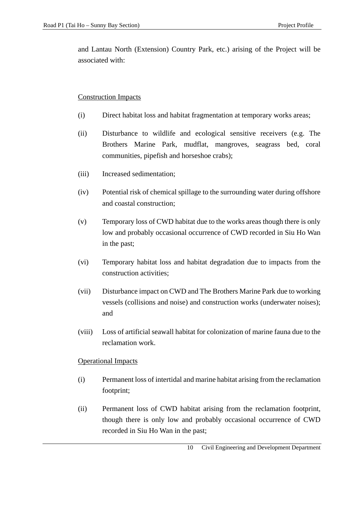and Lantau North (Extension) Country Park, etc.) arising of the Project will be associated with:

#### Construction Impacts

- (i) Direct habitat loss and habitat fragmentation at temporary works areas;
- (ii) Disturbance to wildlife and ecological sensitive receivers (e.g. The Brothers Marine Park, mudflat, mangroves, seagrass bed, coral communities, pipefish and horseshoe crabs);
- (iii) Increased sedimentation;
- (iv) Potential risk of chemical spillage to the surrounding water during offshore and coastal construction;
- (v) Temporary loss of CWD habitat due to the works areas though there is only low and probably occasional occurrence of CWD recorded in Siu Ho Wan in the past;
- (vi) Temporary habitat loss and habitat degradation due to impacts from the construction activities;
- (vii) Disturbance impact on CWD and The Brothers Marine Park due to working vessels (collisions and noise) and construction works (underwater noises); and
- (viii) Loss of artificial seawall habitat for colonization of marine fauna due to the reclamation work.

## Operational Impacts

- (i) Permanent loss of intertidal and marine habitat arising from the reclamation footprint;
- (ii) Permanent loss of CWD habitat arising from the reclamation footprint, though there is only low and probably occasional occurrence of CWD recorded in Siu Ho Wan in the past;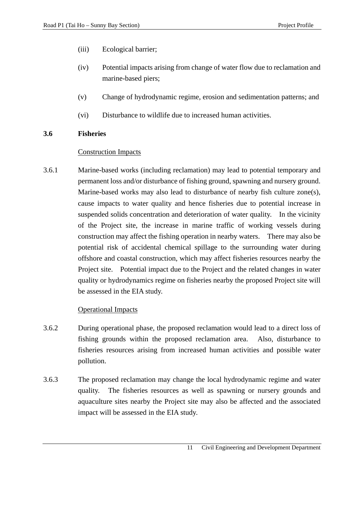- (iii) Ecological barrier;
- (iv) Potential impacts arising from change of water flow due to reclamation and marine-based piers;
- (v) Change of hydrodynamic regime, erosion and sedimentation patterns; and
- (vi) Disturbance to wildlife due to increased human activities.

#### **3.6 Fisheries**

#### Construction Impacts

3.6.1 Marine-based works (including reclamation) may lead to potential temporary and permanent loss and/or disturbance of fishing ground, spawning and nursery ground. Marine-based works may also lead to disturbance of nearby fish culture zone(s), cause impacts to water quality and hence fisheries due to potential increase in suspended solids concentration and deterioration of water quality. In the vicinity of the Project site, the increase in marine traffic of working vessels during construction may affect the fishing operation in nearby waters. There may also be potential risk of accidental chemical spillage to the surrounding water during offshore and coastal construction, which may affect fisheries resources nearby the Project site. Potential impact due to the Project and the related changes in water quality or hydrodynamics regime on fisheries nearby the proposed Project site will be assessed in the EIA study.

## Operational Impacts

- 3.6.2 During operational phase, the proposed reclamation would lead to a direct loss of fishing grounds within the proposed reclamation area. Also, disturbance to fisheries resources arising from increased human activities and possible water pollution.
- 3.6.3 The proposed reclamation may change the local hydrodynamic regime and water quality. The fisheries resources as well as spawning or nursery grounds and aquaculture sites nearby the Project site may also be affected and the associated impact will be assessed in the EIA study.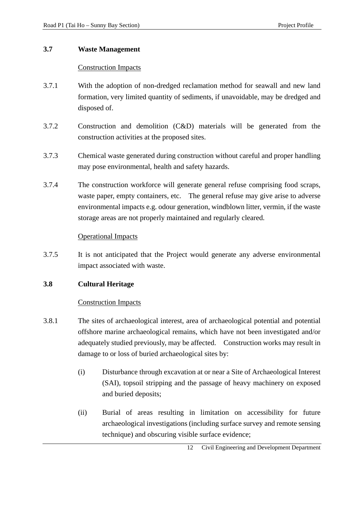### **3.7 Waste Management**

## Construction Impacts

- 3.7.1 With the adoption of non-dredged reclamation method for seawall and new land formation, very limited quantity of sediments, if unavoidable, may be dredged and disposed of.
- 3.7.2 Construction and demolition (C&D) materials will be generated from the construction activities at the proposed sites.
- 3.7.3 Chemical waste generated during construction without careful and proper handling may pose environmental, health and safety hazards.
- 3.7.4 The construction workforce will generate general refuse comprising food scraps, waste paper, empty containers, etc. The general refuse may give arise to adverse environmental impacts e.g. odour generation, windblown litter, vermin, if the waste storage areas are not properly maintained and regularly cleared.

#### Operational Impacts

3.7.5 It is not anticipated that the Project would generate any adverse environmental impact associated with waste.

## **3.8 Cultural Heritage**

## Construction Impacts

- 3.8.1 The sites of archaeological interest, area of archaeological potential and potential offshore marine archaeological remains, which have not been investigated and/or adequately studied previously, may be affected. Construction works may result in damage to or loss of buried archaeological sites by:
	- (i) Disturbance through excavation at or near a Site of Archaeological Interest (SAI), topsoil stripping and the passage of heavy machinery on exposed and buried deposits;
	- (ii) Burial of areas resulting in limitation on accessibility for future archaeological investigations (including surface survey and remote sensing technique) and obscuring visible surface evidence;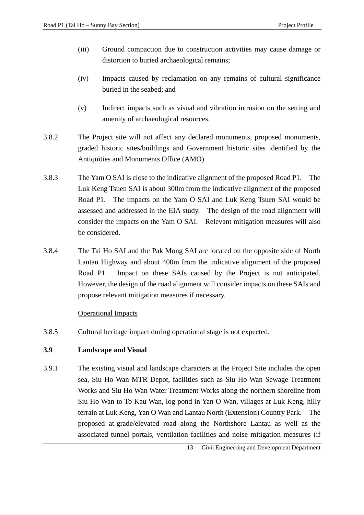- (iii) Ground compaction due to construction activities may cause damage or distortion to buried archaeological remains;
- (iv) Impacts caused by reclamation on any remains of cultural significance buried in the seabed; and
- (v) Indirect impacts such as visual and vibration intrusion on the setting and amenity of archaeological resources.
- 3.8.2 The Project site will not affect any declared monuments, proposed monuments, graded historic sites/buildings and Government historic sites identified by the Antiquities and Monuments Office (AMO).
- 3.8.3 The Yam O SAI is close to the indicative alignment of the proposed Road P1. The Luk Keng Tsuen SAI is about 300m from the indicative alignment of the proposed Road P1. The impacts on the Yam O SAI and Luk Keng Tsuen SAI would be assessed and addressed in the EIA study. The design of the road alignment will consider the impacts on the Yam O SAI. Relevant mitigation measures will also be considered.
- 3.8.4 The Tai Ho SAI and the Pak Mong SAI are located on the opposite side of North Lantau Highway and about 400m from the indicative alignment of the proposed Road P1. Impact on these SAIs caused by the Project is not anticipated. However, the design of the road alignment will consider impacts on these SAIs and propose relevant mitigation measures if necessary.

#### Operational Impacts

3.8.5 Cultural heritage impact during operational stage is not expected.

#### **3.9 Landscape and Visual**

3.9.1 The existing visual and landscape characters at the Project Site includes the open sea, Siu Ho Wan MTR Depot, facilities such as Siu Ho Wan Sewage Treatment Works and Siu Ho Wan Water Treatment Works along the northern shoreline from Siu Ho Wan to To Kau Wan, log pond in Yan O Wan, villages at Luk Keng, hilly terrain at Luk Keng, Yan O Wan and Lantau North (Extension) Country Park. The proposed at-grade/elevated road along the Northshore Lantau as well as the associated tunnel portals, ventilation facilities and noise mitigation measures (if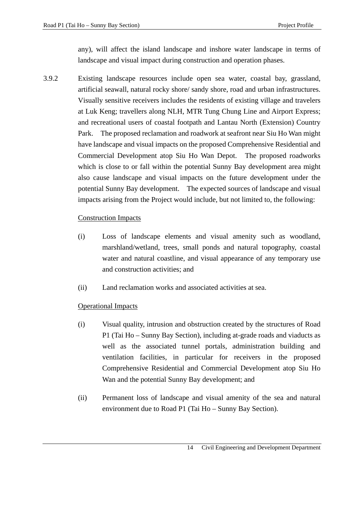any), will affect the island landscape and inshore water landscape in terms of landscape and visual impact during construction and operation phases.

3.9.2 Existing landscape resources include open sea water, coastal bay, grassland, artificial seawall, natural rocky shore/ sandy shore, road and urban infrastructures. Visually sensitive receivers includes the residents of existing village and travelers at Luk Keng; travellers along NLH, MTR Tung Chung Line and Airport Express; and recreational users of coastal footpath and Lantau North (Extension) Country Park. The proposed reclamation and roadwork at seafront near Siu Ho Wan might have landscape and visual impacts on the proposed Comprehensive Residential and Commercial Development atop Siu Ho Wan Depot. The proposed roadworks which is close to or fall within the potential Sunny Bay development area might also cause landscape and visual impacts on the future development under the potential Sunny Bay development. The expected sources of landscape and visual impacts arising from the Project would include, but not limited to, the following:

## Construction Impacts

- (i) Loss of landscape elements and visual amenity such as woodland, marshland/wetland, trees, small ponds and natural topography, coastal water and natural coastline, and visual appearance of any temporary use and construction activities; and
- (ii) Land reclamation works and associated activities at sea.

## Operational Impacts

- (i) Visual quality, intrusion and obstruction created by the structures of Road P1 (Tai Ho – Sunny Bay Section), including at-grade roads and viaducts as well as the associated tunnel portals, administration building and ventilation facilities, in particular for receivers in the proposed Comprehensive Residential and Commercial Development atop Siu Ho Wan and the potential Sunny Bay development; and
- (ii) Permanent loss of landscape and visual amenity of the sea and natural environment due to Road P1 (Tai Ho – Sunny Bay Section).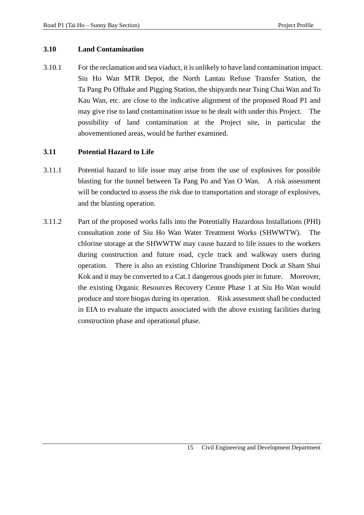#### **3.10 Land Contamination**

3.10.1 For the reclamation and sea viaduct, it is unlikely to have land contamination impact. Siu Ho Wan MTR Depot, the North Lantau Refuse Transfer Station, the Ta Pang Po Offtake and Pigging Station, the shipyards near Tsing Chai Wan and To Kau Wan, etc. are close to the indicative alignment of the proposed Road P1 and may give rise to land contamination issue to be dealt with under this Project. The possibility of land contamination at the Project site, in particular the abovementioned areas, would be further examined.

#### **3.11 Potential Hazard to Life**

- 3.11.1 Potential hazard to life issue may arise from the use of explosives for possible blasting for the tunnel between Ta Pang Po and Yan O Wan. A risk assessment will be conducted to assess the risk due to transportation and storage of explosives, and the blasting operation.
- 3.11.2 Part of the proposed works falls into the Potentially Hazardous Installations (PHI) consultation zone of Siu Ho Wan Water Treatment Works (SHWWTW). The chlorine storage at the SHWWTW may cause hazard to life issues to the workers during construction and future road, cycle track and walkway users during operation. There is also an existing Chlorine Transhipment Dock at Sham Shui Kok and it may be converted to a Cat.1 dangerous goods pier in future. Moreover, the existing Organic Resources Recovery Centre Phase 1 at Siu Ho Wan would produce and store biogas during its operation. Risk assessment shall be conducted in EIA to evaluate the impacts associated with the above existing facilities during construction phase and operational phase.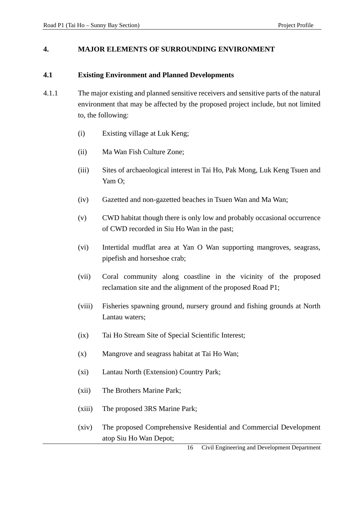#### **4. MAJOR ELEMENTS OF SURROUNDING ENVIRONMENT**

#### **4.1 Existing Environment and Planned Developments**

- 4.1.1 The major existing and planned sensitive receivers and sensitive parts of the natural environment that may be affected by the proposed project include, but not limited to, the following:
	- (i) Existing village at Luk Keng;
	- (ii) Ma Wan Fish Culture Zone;
	- (iii) Sites of archaeological interest in Tai Ho, Pak Mong, Luk Keng Tsuen and Yam O;
	- (iv) Gazetted and non-gazetted beaches in Tsuen Wan and Ma Wan;
	- (v) CWD habitat though there is only low and probably occasional occurrence of CWD recorded in Siu Ho Wan in the past;
	- (vi) Intertidal mudflat area at Yan O Wan supporting mangroves, seagrass, pipefish and horseshoe crab;
	- (vii) Coral community along coastline in the vicinity of the proposed reclamation site and the alignment of the proposed Road P1;
	- (viii) Fisheries spawning ground, nursery ground and fishing grounds at North Lantau waters;
	- (ix) Tai Ho Stream Site of Special Scientific Interest;
	- (x) Mangrove and seagrass habitat at Tai Ho Wan;
	- (xi) Lantau North (Extension) Country Park;
	- (xii) The Brothers Marine Park;
	- (xiii) The proposed 3RS Marine Park;
	- (xiv) The proposed Comprehensive Residential and Commercial Development atop Siu Ho Wan Depot;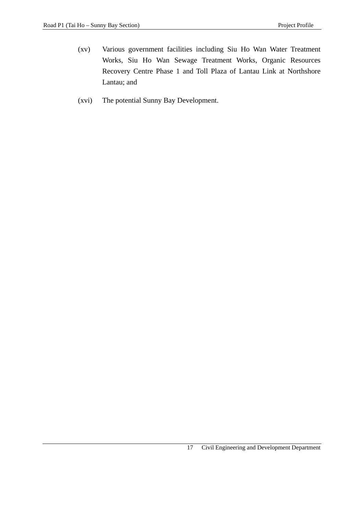- (xv) Various government facilities including Siu Ho Wan Water Treatment Works, Siu Ho Wan Sewage Treatment Works, Organic Resources Recovery Centre Phase 1 and Toll Plaza of Lantau Link at Northshore Lantau; and
- (xvi) The potential Sunny Bay Development.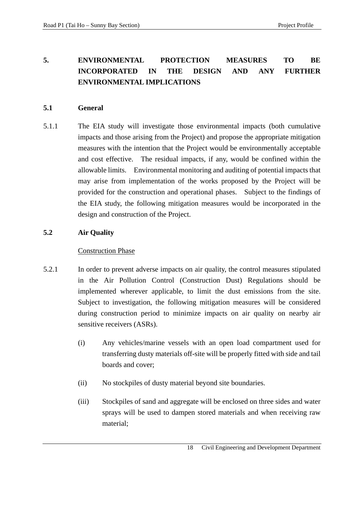## **5. ENVIRONMENTAL PROTECTION MEASURES TO BE INCORPORATED IN THE DESIGN AND ANY FURTHER ENVIRONMENTAL IMPLICATIONS**

## **5.1 General**

5.1.1 The EIA study will investigate those environmental impacts (both cumulative impacts and those arising from the Project) and propose the appropriate mitigation measures with the intention that the Project would be environmentally acceptable and cost effective. The residual impacts, if any, would be confined within the allowable limits. Environmental monitoring and auditing of potential impacts that may arise from implementation of the works proposed by the Project will be provided for the construction and operational phases. Subject to the findings of the EIA study, the following mitigation measures would be incorporated in the design and construction of the Project.

## **5.2 Air Quality**

- 5.2.1 In order to prevent adverse impacts on air quality, the control measures stipulated in the Air Pollution Control (Construction Dust) Regulations should be implemented wherever applicable, to limit the dust emissions from the site. Subject to investigation, the following mitigation measures will be considered during construction period to minimize impacts on air quality on nearby air sensitive receivers (ASRs).
	- (i) Any vehicles/marine vessels with an open load compartment used for transferring dusty materials off-site will be properly fitted with side and tail boards and cover;
	- (ii) No stockpiles of dusty material beyond site boundaries.
	- (iii) Stockpiles of sand and aggregate will be enclosed on three sides and water sprays will be used to dampen stored materials and when receiving raw material;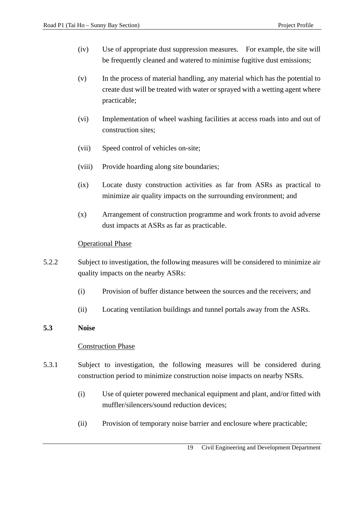- (iv) Use of appropriate dust suppression measures. For example, the site will be frequently cleaned and watered to minimise fugitive dust emissions:
- (v) In the process of material handling, any material which has the potential to create dust will be treated with water or sprayed with a wetting agent where practicable;
- (vi) Implementation of wheel washing facilities at access roads into and out of construction sites;
- (vii) Speed control of vehicles on-site;
- (viii) Provide hoarding along site boundaries;
- (ix) Locate dusty construction activities as far from ASRs as practical to minimize air quality impacts on the surrounding environment; and
- (x) Arrangement of construction programme and work fronts to avoid adverse dust impacts at ASRs as far as practicable.

#### Operational Phase

- 5.2.2 Subject to investigation, the following measures will be considered to minimize air quality impacts on the nearby ASRs:
	- (i) Provision of buffer distance between the sources and the receivers; and
	- (ii) Locating ventilation buildings and tunnel portals away from the ASRs.

#### **5.3 Noise**

- 5.3.1 Subject to investigation, the following measures will be considered during construction period to minimize construction noise impacts on nearby NSRs.
	- (i) Use of quieter powered mechanical equipment and plant, and/or fitted with muffler/silencers/sound reduction devices;
	- (ii) Provision of temporary noise barrier and enclosure where practicable;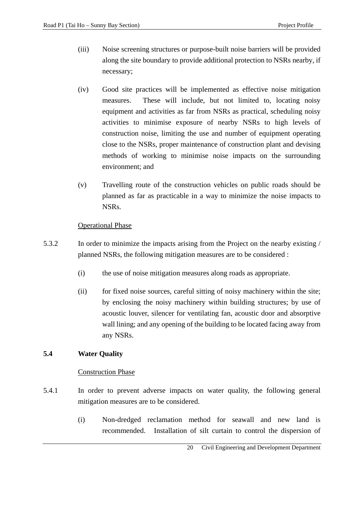- (iii) Noise screening structures or purpose-built noise barriers will be provided along the site boundary to provide additional protection to NSRs nearby, if necessary;
- (iv) Good site practices will be implemented as effective noise mitigation measures. These will include, but not limited to, locating noisy equipment and activities as far from NSRs as practical, scheduling noisy activities to minimise exposure of nearby NSRs to high levels of construction noise, limiting the use and number of equipment operating close to the NSRs, proper maintenance of construction plant and devising methods of working to minimise noise impacts on the surrounding environment; and
- (v) Travelling route of the construction vehicles on public roads should be planned as far as practicable in a way to minimize the noise impacts to NSRs.

## Operational Phase

- 5.3.2 In order to minimize the impacts arising from the Project on the nearby existing / planned NSRs, the following mitigation measures are to be considered :
	- (i) the use of noise mitigation measures along roads as appropriate.
	- (ii) for fixed noise sources, careful sitting of noisy machinery within the site; by enclosing the noisy machinery within building structures; by use of acoustic louver, silencer for ventilating fan, acoustic door and absorptive wall lining; and any opening of the building to be located facing away from any NSRs.

## **5.4 Water Quality**

- 5.4.1 In order to prevent adverse impacts on water quality, the following general mitigation measures are to be considered.
	- (i) Non-dredged reclamation method for seawall and new land is recommended. Installation of silt curtain to control the dispersion of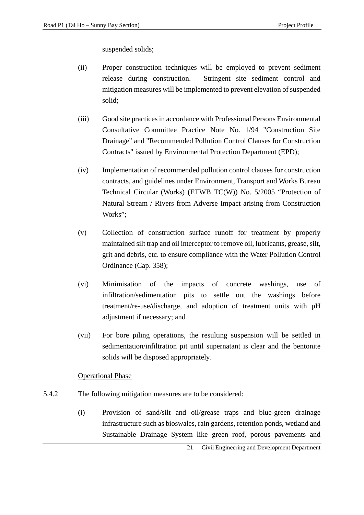suspended solids;

- (ii) Proper construction techniques will be employed to prevent sediment release during construction. Stringent site sediment control and mitigation measures will be implemented to prevent elevation of suspended solid;
- (iii) Good site practices in accordance with Professional Persons Environmental Consultative Committee Practice Note No. 1/94 "Construction Site Drainage" and "Recommended Pollution Control Clauses for Construction Contracts" issued by Environmental Protection Department (EPD);
- (iv) Implementation of recommended pollution control clauses for construction contracts, and guidelines under Environment, Transport and Works Bureau Technical Circular (Works) (ETWB TC(W)) No. 5/2005 "Protection of Natural Stream / Rivers from Adverse Impact arising from Construction Works";
- (v) Collection of construction surface runoff for treatment by properly maintained silt trap and oil interceptor to remove oil, lubricants, grease, silt, grit and debris, etc. to ensure compliance with the Water Pollution Control Ordinance (Cap. 358);
- (vi) Minimisation of the impacts of concrete washings, use of infiltration/sedimentation pits to settle out the washings before treatment/re-use/discharge, and adoption of treatment units with pH adjustment if necessary; and
- (vii) For bore piling operations, the resulting suspension will be settled in sedimentation/infiltration pit until supernatant is clear and the bentonite solids will be disposed appropriately.

#### Operational Phase

- 5.4.2 The following mitigation measures are to be considered:
	- (i) Provision of sand/silt and oil/grease traps and blue-green drainage infrastructure such as bioswales, rain gardens, retention ponds, wetland and Sustainable Drainage System like green roof, porous pavements and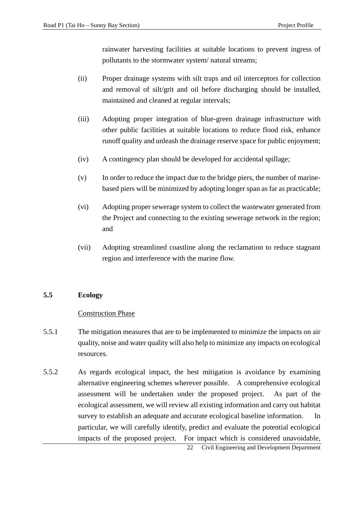rainwater harvesting facilities at suitable locations to prevent ingress of pollutants to the stormwater system/ natural streams;

- (ii) Proper drainage systems with silt traps and oil interceptors for collection and removal of silt/grit and oil before discharging should be installed, maintained and cleaned at regular intervals;
- (iii) Adopting proper integration of blue-green drainage infrastructure with other public facilities at suitable locations to reduce flood risk, enhance runoff quality and unleash the drainage reserve space for public enjoyment;
- (iv) A contingency plan should be developed for accidental spillage;
- (v) In order to reduce the impact due to the bridge piers, the number of marinebased piers will be minimized by adopting longer span as far as practicable;
- (vi) Adopting proper sewerage system to collect the wastewater generated from the Project and connecting to the existing sewerage network in the region; and
- (vii) Adopting streamlined coastline along the reclamation to reduce stagnant region and interference with the marine flow.

#### **5.5 Ecology**

- 5.5.1 The mitigation measures that are to be implemented to minimize the impacts on air quality, noise and water quality will also help to minimize any impacts on ecological resources.
- 5.5.2 As regards ecological impact, the best mitigation is avoidance by examining alternative engineering schemes wherever possible. A comprehensive ecological assessment will be undertaken under the proposed project. As part of the ecological assessment, we will review all existing information and carry out habitat survey to establish an adequate and accurate ecological baseline information. In particular, we will carefully identify, predict and evaluate the potential ecological impacts of the proposed project. For impact which is considered unavoidable,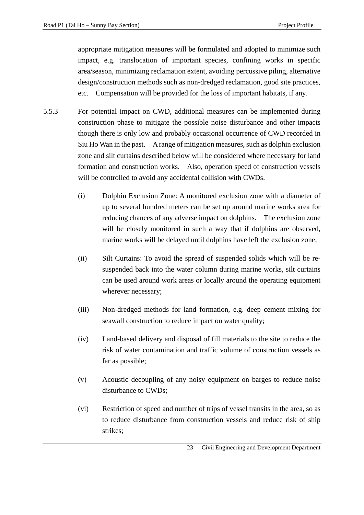appropriate mitigation measures will be formulated and adopted to minimize such impact, e.g. translocation of important species, confining works in specific area/season, minimizing reclamation extent, avoiding percussive piling, alternative design/construction methods such as non-dredged reclamation, good site practices, etc. Compensation will be provided for the loss of important habitats, if any.

- 5.5.3 For potential impact on CWD, additional measures can be implemented during construction phase to mitigate the possible noise disturbance and other impacts though there is only low and probably occasional occurrence of CWD recorded in Siu Ho Wan in the past. A range of mitigation measures, such as dolphin exclusion zone and silt curtains described below will be considered where necessary for land formation and construction works. Also, operation speed of construction vessels will be controlled to avoid any accidental collision with CWDs.
	- (i) Dolphin Exclusion Zone: A monitored exclusion zone with a diameter of up to several hundred meters can be set up around marine works area for reducing chances of any adverse impact on dolphins. The exclusion zone will be closely monitored in such a way that if dolphins are observed, marine works will be delayed until dolphins have left the exclusion zone;
	- (ii) Silt Curtains: To avoid the spread of suspended solids which will be resuspended back into the water column during marine works, silt curtains can be used around work areas or locally around the operating equipment wherever necessary;
	- (iii) Non-dredged methods for land formation, e.g. deep cement mixing for seawall construction to reduce impact on water quality;
	- (iv) Land-based delivery and disposal of fill materials to the site to reduce the risk of water contamination and traffic volume of construction vessels as far as possible;
	- (v) Acoustic decoupling of any noisy equipment on barges to reduce noise disturbance to CWDs;
	- (vi) Restriction of speed and number of trips of vessel transits in the area, so as to reduce disturbance from construction vessels and reduce risk of ship strikes;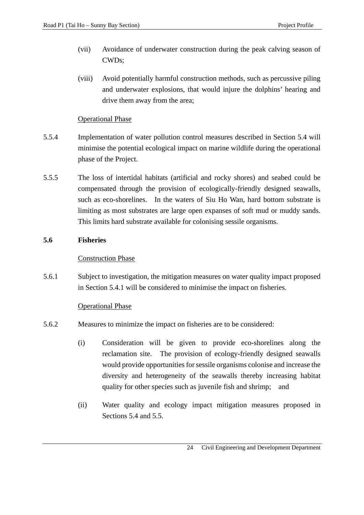- (vii) Avoidance of underwater construction during the peak calving season of CWDs;
- (viii) Avoid potentially harmful construction methods, such as percussive piling and underwater explosions, that would injure the dolphins' hearing and drive them away from the area;

## Operational Phase

- 5.5.4 Implementation of water pollution control measures described in Section 5.4 will minimise the potential ecological impact on marine wildlife during the operational phase of the Project.
- 5.5.5 The loss of intertidal habitats (artificial and rocky shores) and seabed could be compensated through the provision of ecologically-friendly designed seawalls, such as eco-shorelines. In the waters of Siu Ho Wan, hard bottom substrate is limiting as most substrates are large open expanses of soft mud or muddy sands. This limits hard substrate available for colonising sessile organisms.

## **5.6 Fisheries**

## Construction Phase

5.6.1 Subject to investigation, the mitigation measures on water quality impact proposed in Section 5.4.1 will be considered to minimise the impact on fisheries.

## Operational Phase

- 5.6.2 Measures to minimize the impact on fisheries are to be considered:
	- (i) Consideration will be given to provide eco-shorelines along the reclamation site. The provision of ecology-friendly designed seawalls would provide opportunities for sessile organisms colonise and increase the diversity and heterogeneity of the seawalls thereby increasing habitat quality for other species such as juvenile fish and shrimp; and
	- (ii) Water quality and ecology impact mitigation measures proposed in Sections 5.4 and 5.5.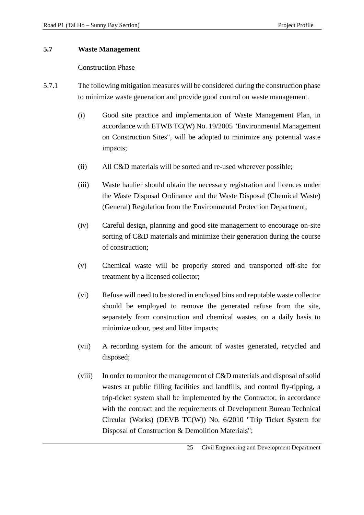#### **5.7 Waste Management**

- 5.7.1 The following mitigation measures will be considered during the construction phase to minimize waste generation and provide good control on waste management.
	- (i) Good site practice and implementation of Waste Management Plan, in accordance with ETWB TC(W) No. 19/2005 "Environmental Management on Construction Sites", will be adopted to minimize any potential waste impacts;
	- (ii) All C&D materials will be sorted and re-used wherever possible;
	- (iii) Waste haulier should obtain the necessary registration and licences under the Waste Disposal Ordinance and the Waste Disposal (Chemical Waste) (General) Regulation from the Environmental Protection Department;
	- (iv) Careful design, planning and good site management to encourage on-site sorting of C&D materials and minimize their generation during the course of construction;
	- (v) Chemical waste will be properly stored and transported off-site for treatment by a licensed collector;
	- (vi) Refuse will need to be stored in enclosed bins and reputable waste collector should be employed to remove the generated refuse from the site, separately from construction and chemical wastes, on a daily basis to minimize odour, pest and litter impacts;
	- (vii) A recording system for the amount of wastes generated, recycled and disposed;
	- (viii) In order to monitor the management of C&D materials and disposal of solid wastes at public filling facilities and landfills, and control fly-tipping, a trip-ticket system shall be implemented by the Contractor, in accordance with the contract and the requirements of Development Bureau Technical Circular (Works) (DEVB TC(W)) No. 6/2010 "Trip Ticket System for Disposal of Construction & Demolition Materials";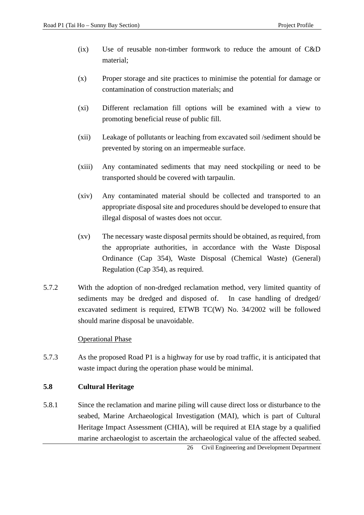- (ix) Use of reusable non-timber formwork to reduce the amount of C&D material;
- (x) Proper storage and site practices to minimise the potential for damage or contamination of construction materials; and
- (xi) Different reclamation fill options will be examined with a view to promoting beneficial reuse of public fill.
- (xii) Leakage of pollutants or leaching from excavated soil /sediment should be prevented by storing on an impermeable surface.
- (xiii) Any contaminated sediments that may need stockpiling or need to be transported should be covered with tarpaulin.
- (xiv) Any contaminated material should be collected and transported to an appropriate disposal site and procedures should be developed to ensure that illegal disposal of wastes does not occur.
- (xv) The necessary waste disposal permits should be obtained, as required, from the appropriate authorities, in accordance with the Waste Disposal Ordinance (Cap 354), Waste Disposal (Chemical Waste) (General) Regulation (Cap 354), as required.
- 5.7.2 With the adoption of non-dredged reclamation method, very limited quantity of sediments may be dredged and disposed of. In case handling of dredged/ excavated sediment is required, ETWB TC(W) No. 34/2002 will be followed should marine disposal be unavoidable.

#### **Operational Phase**

5.7.3 As the proposed Road P1 is a highway for use by road traffic, it is anticipated that waste impact during the operation phase would be minimal.

#### **5.8 Cultural Heritage**

5.8.1 Since the reclamation and marine piling will cause direct loss or disturbance to the seabed, Marine Archaeological Investigation (MAI), which is part of Cultural Heritage Impact Assessment (CHIA), will be required at EIA stage by a qualified marine archaeologist to ascertain the archaeological value of the affected seabed.

26 Civil Engineering and Development Department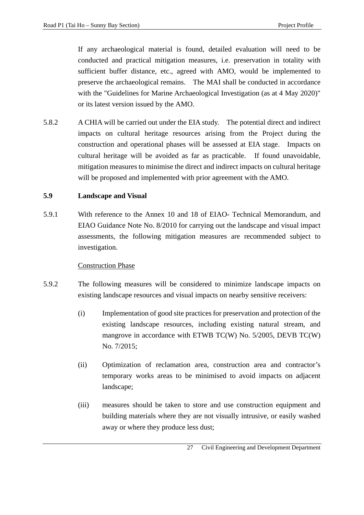If any archaeological material is found, detailed evaluation will need to be conducted and practical mitigation measures, i.e. preservation in totality with sufficient buffer distance, etc., agreed with AMO, would be implemented to preserve the archaeological remains. The MAI shall be conducted in accordance with the "Guidelines for Marine Archaeological Investigation (as at 4 May 2020)" or its latest version issued by the AMO.

5.8.2 A CHIA will be carried out under the EIA study. The potential direct and indirect impacts on cultural heritage resources arising from the Project during the construction and operational phases will be assessed at EIA stage. Impacts on cultural heritage will be avoided as far as practicable. If found unavoidable, mitigation measures to minimise the direct and indirect impacts on cultural heritage will be proposed and implemented with prior agreement with the AMO.

## **5.9 Landscape and Visual**

5.9.1 With reference to the Annex 10 and 18 of EIAO- Technical Memorandum, and EIAO Guidance Note No. 8/2010 for carrying out the landscape and visual impact assessments, the following mitigation measures are recommended subject to investigation.

- 5.9.2 The following measures will be considered to minimize landscape impacts on existing landscape resources and visual impacts on nearby sensitive receivers:
	- (i) Implementation of good site practices for preservation and protection of the existing landscape resources, including existing natural stream, and mangrove in accordance with ETWB TC(W) No. 5/2005, DEVB TC(W) No. 7/2015;
	- (ii) Optimization of reclamation area, construction area and contractor's temporary works areas to be minimised to avoid impacts on adjacent landscape;
	- (iii) measures should be taken to store and use construction equipment and building materials where they are not visually intrusive, or easily washed away or where they produce less dust;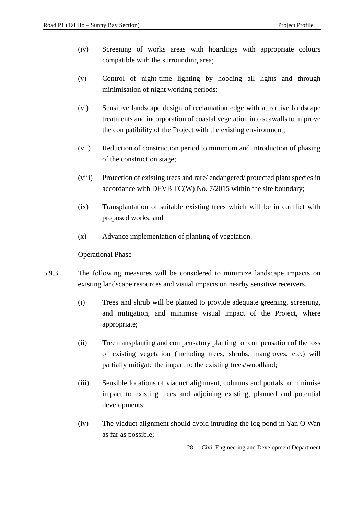- (iv) Screening of works areas with hoardings with appropriate colours compatible with the surrounding area;
- (v) Control of night-time lighting by hooding all lights and through minimisation of night working periods;
- (vi) Sensitive landscape design of reclamation edge with attractive landscape treatments and incorporation of coastal vegetation into seawalls to improve the compatibility of the Project with the existing environment;
- (vii) Reduction of construction period to minimum and introduction of phasing of the construction stage;
- (viii) Protection of existing trees and rare/ endangered/ protected plant species in accordance with DEVB TC(W) No. 7/2015 within the site boundary;
- (ix) Transplantation of suitable existing trees which will be in conflict with proposed works; and
- (x) Advance implementation of planting of vegetation.

#### Operational Phase

- 5.9.3 The following measures will be considered to minimize landscape impacts on existing landscape resources and visual impacts on nearby sensitive receivers.
	- (i) Trees and shrub will be planted to provide adequate greening, screening, and mitigation, and minimise visual impact of the Project, where appropriate;
	- (ii) Tree transplanting and compensatory planting for compensation of the loss of existing vegetation (including trees, shrubs, mangroves, etc.) will partially mitigate the impact to the existing trees/woodland;
	- (iii) Sensible locations of viaduct alignment, columns and portals to minimise impact to existing trees and adjoining existing, planned and potential developments;
	- (iv) The viaduct alignment should avoid intruding the log pond in Yan O Wan as far as possible;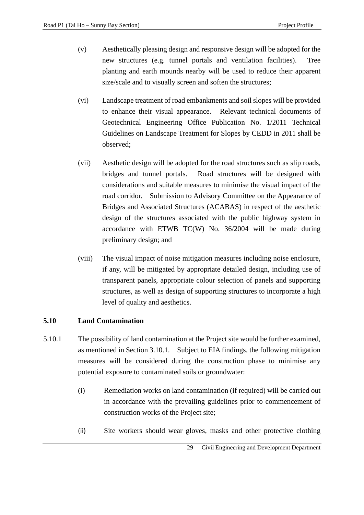- (v) Aesthetically pleasing design and responsive design will be adopted for the new structures (e.g. tunnel portals and ventilation facilities). Tree planting and earth mounds nearby will be used to reduce their apparent size/scale and to visually screen and soften the structures;
- (vi) Landscape treatment of road embankments and soil slopes will be provided to enhance their visual appearance. Relevant technical documents of Geotechnical Engineering Office Publication No. 1/2011 Technical Guidelines on Landscape Treatment for Slopes by CEDD in 2011 shall be observed;
- (vii) Aesthetic design will be adopted for the road structures such as slip roads, bridges and tunnel portals. Road structures will be designed with considerations and suitable measures to minimise the visual impact of the road corridor. Submission to Advisory Committee on the Appearance of Bridges and Associated Structures (ACABAS) in respect of the aesthetic design of the structures associated with the public highway system in accordance with ETWB TC(W) No. 36/2004 will be made during preliminary design; and
- (viii) The visual impact of noise mitigation measures including noise enclosure, if any, will be mitigated by appropriate detailed design, including use of transparent panels, appropriate colour selection of panels and supporting structures, as well as design of supporting structures to incorporate a high level of quality and aesthetics.

#### **5.10 Land Contamination**

- 5.10.1 The possibility of land contamination at the Project site would be further examined, as mentioned in Section 3.10.1. Subject to EIA findings, the following mitigation measures will be considered during the construction phase to minimise any potential exposure to contaminated soils or groundwater:
	- (i) Remediation works on land contamination (if required) will be carried out in accordance with the prevailing guidelines prior to commencement of construction works of the Project site;
	- (ii) Site workers should wear gloves, masks and other protective clothing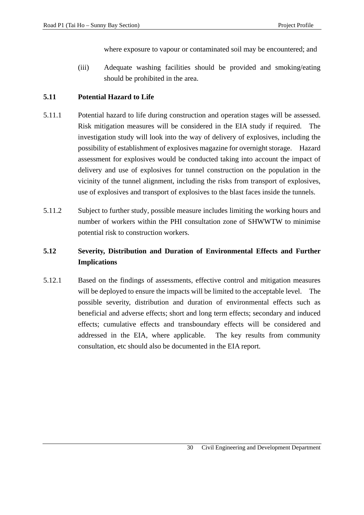where exposure to vapour or contaminated soil may be encountered; and

(iii) Adequate washing facilities should be provided and smoking/eating should be prohibited in the area.

## **5.11 Potential Hazard to Life**

- 5.11.1 Potential hazard to life during construction and operation stages will be assessed. Risk mitigation measures will be considered in the EIA study if required. The investigation study will look into the way of delivery of explosives, including the possibility of establishment of explosives magazine for overnight storage. Hazard assessment for explosives would be conducted taking into account the impact of delivery and use of explosives for tunnel construction on the population in the vicinity of the tunnel alignment, including the risks from transport of explosives, use of explosives and transport of explosives to the blast faces inside the tunnels.
- 5.11.2 Subject to further study, possible measure includes limiting the working hours and number of workers within the PHI consultation zone of SHWWTW to minimise potential risk to construction workers.

## **5.12 Severity, Distribution and Duration of Environmental Effects and Further Implications**

5.12.1 Based on the findings of assessments, effective control and mitigation measures will be deployed to ensure the impacts will be limited to the acceptable level. The possible severity, distribution and duration of environmental effects such as beneficial and adverse effects; short and long term effects; secondary and induced effects; cumulative effects and transboundary effects will be considered and addressed in the EIA, where applicable. The key results from community consultation, etc should also be documented in the EIA report.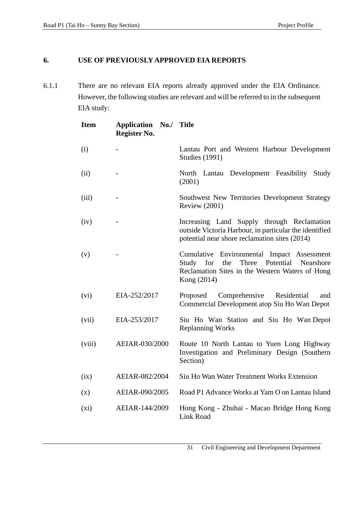## **6. USE OF PREVIOUSLY APPROVED EIA REPORTS**

6.1.1 There are no relevant EIA reports already approved under the EIA Ordinance. However, the following studies are relevant and will be referred to in the subsequent EIA study:

| <b>Item</b> | Application No./ Title<br>Register No. |                                                                                                                                                               |
|-------------|----------------------------------------|---------------------------------------------------------------------------------------------------------------------------------------------------------------|
| (i)         |                                        | Lantau Port and Western Harbour Development<br><b>Studies (1991)</b>                                                                                          |
| (ii)        |                                        | North Lantau Development Feasibility Study<br>(2001)                                                                                                          |
| (iii)       |                                        | Southwest New Territories Development Strategy<br><b>Review (2001)</b>                                                                                        |
| (iv)        |                                        | Increasing Land Supply through Reclamation<br>outside Victoria Harbour, in particular the identified<br>potential near shore reclamation sites (2014)         |
| (v)         |                                        | Cumulative Environmental Impact Assessment<br>Study for<br>the<br>Three Potential Nearshore<br>Reclamation Sites in the Western Waters of Hong<br>Kong (2014) |
| (vi)        | EIA-252/2017                           | Comprehensive Residential<br>Proposed<br>and<br>Commercial Development atop Siu Ho Wan Depot                                                                  |
| (vii)       | EIA-253/2017                           | Siu Ho Wan Station and Siu Ho Wan Depot<br><b>Replanning Works</b>                                                                                            |
| (viii)      | AEIAR-030/2000                         | Route 10 North Lantau to Yuen Long Highway<br>Investigation and Preliminary Design (Southern<br>Section)                                                      |
| (ix)        | AEIAR-082/2004                         | Siu Ho Wan Water Treatment Works Extension                                                                                                                    |
| (x)         | AEIAR-090/2005                         | Road P1 Advance Works at Yam O on Lantau Island                                                                                                               |
| $(x_i)$     | AEIAR-144/2009                         | Hong Kong - Zhuhai - Macao Bridge Hong Kong<br><b>Link Road</b>                                                                                               |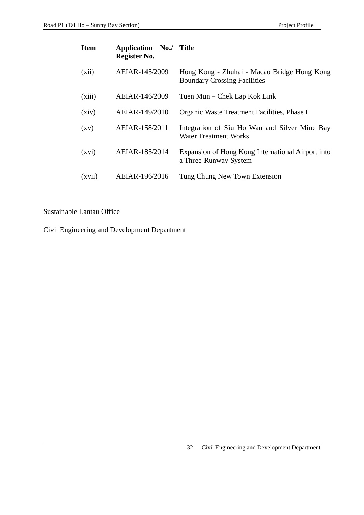| <b>Item</b>        | <b>Application No./ Title</b><br>Register No. |                                                                                    |
|--------------------|-----------------------------------------------|------------------------------------------------------------------------------------|
| (xii)              | AEIAR-145/2009                                | Hong Kong - Zhuhai - Macao Bridge Hong Kong<br><b>Boundary Crossing Facilities</b> |
| (xiii)             | AEIAR-146/2009                                | Tuen Mun – Chek Lap Kok Link                                                       |
| (xiv)              | AEIAR-149/2010                                | Organic Waste Treatment Facilities, Phase I                                        |
| $\left( xy\right)$ | AEIAR-158/2011                                | Integration of Siu Ho Wan and Silver Mine Bay<br>Water Treatment Works             |
| (xvi)              | AEIAR-185/2014                                | Expansion of Hong Kong International Airport into<br>a Three-Runway System         |
| (xvii)             | AEIAR-196/2016                                | Tung Chung New Town Extension                                                      |

## Sustainable Lantau Office

Civil Engineering and Development Department